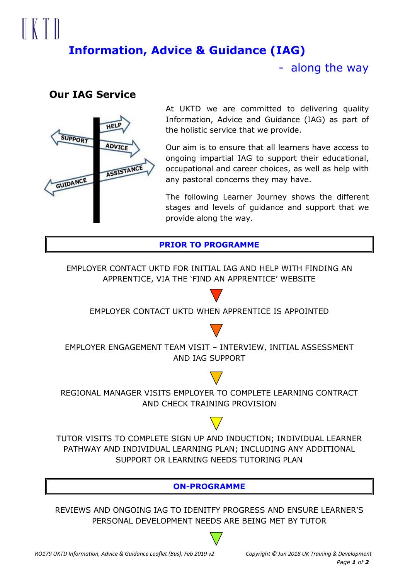# $\mathbb{R}$   $\mathbb{R}$   $\mathbb{R}$ **Information, Advice & Guidance (IAG)**

- along the way

## **Our IAG Service**



At UKTD we are committed to delivering quality Information, Advice and Guidance (IAG) as part of the holistic service that we provide.

Our aim is to ensure that all learners have access to ongoing impartial IAG to support their educational, occupational and career choices, as well as help with any pastoral concerns they may have.

The following Learner Journey shows the different stages and levels of guidance and support that we provide along the way.

**PRIOR TO PROGRAMME**

EMPLOYER CONTACT UKTD FOR INITIAL IAG AND HELP WITH FINDING AN APPRENTICE, VIA THE 'FIND AN APPRENTICE' WEBSITE

EMPLOYER CONTACT UKTD WHEN APPRENTICE IS APPOINTED



EMPLOYER ENGAGEMENT TEAM VISIT – INTERVIEW, INITIAL ASSESSMENT AND IAG SUPPORT



REGIONAL MANAGER VISITS EMPLOYER TO COMPLETE LEARNING CONTRACT AND CHECK TRAINING PROVISION

TUTOR VISITS TO COMPLETE SIGN UP AND INDUCTION; INDIVIDUAL LEARNER PATHWAY AND INDIVIDUAL LEARNING PLAN; INCLUDING ANY ADDITIONAL SUPPORT OR LEARNING NEEDS TUTORING PLAN

**ON-PROGRAMME**

REVIEWS AND ONGOING IAG TO IDENITFY PROGRESS AND ENSURE LEARNER'S PERSONAL DEVELOPMENT NEEDS ARE BEING MET BY TUTOR